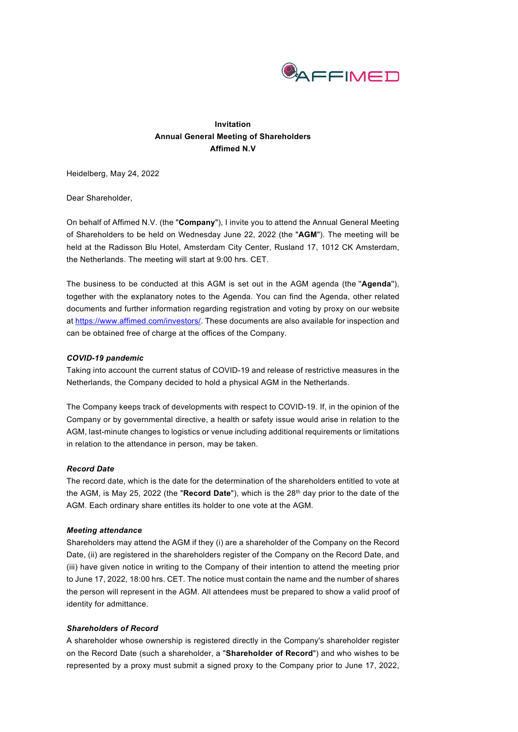

# **Invitation Annual General Meeting of Shareholders Affimed N.V**

Heidelberg, May 24, 2022

Dear Shareholder,

On behalf of Affimed N.V. (the "**Company**"), I invite you to attend the Annual General Meeting of Shareholders to be held on Wednesday June 22, 2022 (the "**AGM**"). The meeting will be held at the Radisson Blu Hotel, Amsterdam City Center, Rusland 17, 1012 CK Amsterdam, the Netherlands. The meeting will start at 9:00 hrs. CET.

The business to be conducted at this AGM is set out in the AGM agenda (the ''**Agenda**''), together with the explanatory notes to the Agenda. You can find the Agenda, other related documents and further information regarding registration and voting by proxy on our website a[t https://www.affimed.com/investors/.](https://www.affimed.com/investors/) These documents are also available for inspection and can be obtained free of charge at the offices of the Company.

## *COVID-19 pandemic*

Taking into account the current status of COVID-19 and release of restrictive measures in the Netherlands, the Company decided to hold a physical AGM in the Netherlands.

The Company keeps track of developments with respect to COVID-19. If, in the opinion of the Company or by governmental directive, a health or safety issue would arise in relation to the AGM, last-minute changes to logistics or venue including additional requirements or limitations in relation to the attendance in person, may be taken.

## *Record Date*

The record date, which is the date for the determination of the shareholders entitled to vote at the AGM, is May 25, 2022 (the "Record Date"), which is the 28<sup>th</sup> day prior to the date of the AGM. Each ordinary share entitles its holder to one vote at the AGM.

## *Meeting attendance*

Shareholders may attend the AGM if they (i) are a shareholder of the Company on the Record Date, (ii) are registered in the shareholders register of the Company on the Record Date, and (iii) have given notice in writing to the Company of their intention to attend the meeting prior to June 17, 2022, 18:00 hrs. CET. The notice must contain the name and the number of shares the person will represent in the AGM. All attendees must be prepared to show a valid proof of identity for admittance.

#### *Shareholders of Record*

A shareholder whose ownership is registered directly in the Company's shareholder register on the Record Date (such a shareholder, a "**Shareholder of Record**") and who wishes to be represented by a proxy must submit a signed proxy to the Company prior to June 17, 2022,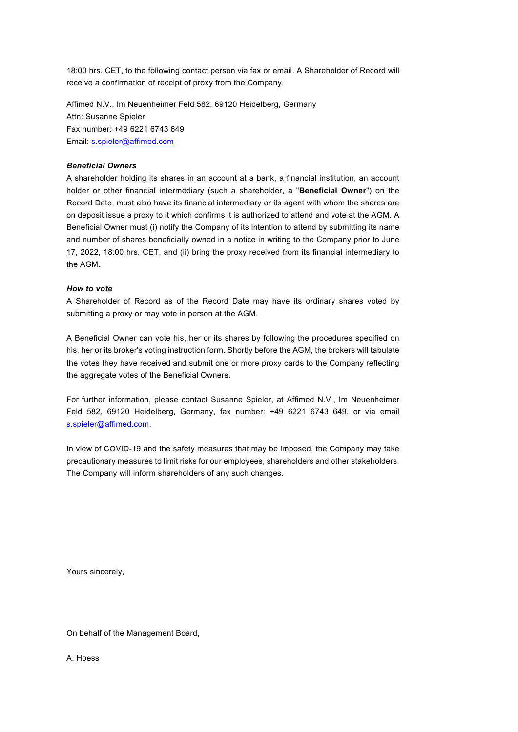18:00 hrs. CET, to the following contact person via fax or email. A Shareholder of Record will receive a confirmation of receipt of proxy from the Company.

Affimed N.V., Im Neuenheimer Feld 582, 69120 Heidelberg, Germany Attn: Susanne Spieler Fax number: +49 6221 6743 649 Email: [s.spieler@affimed.com](mailto:s.spieler@affimed.com) 

#### *Beneficial Owners*

A shareholder holding its shares in an account at a bank, a financial institution, an account holder or other financial intermediary (such a shareholder, a "**Beneficial Owner**") on the Record Date, must also have its financial intermediary or its agent with whom the shares are on deposit issue a proxy to it which confirms it is authorized to attend and vote at the AGM. A Beneficial Owner must (i) notify the Company of its intention to attend by submitting its name and number of shares beneficially owned in a notice in writing to the Company prior to June 17, 2022, 18:00 hrs. CET, and (ii) bring the proxy received from its financial intermediary to the AGM.

## *How to vote*

A Shareholder of Record as of the Record Date may have its ordinary shares voted by submitting a proxy or may vote in person at the AGM.

A Beneficial Owner can vote his, her or its shares by following the procedures specified on his, her or its broker's voting instruction form. Shortly before the AGM, the brokers will tabulate the votes they have received and submit one or more proxy cards to the Company reflecting the aggregate votes of the Beneficial Owners.

For further information, please contact Susanne Spieler, at Affimed N.V., Im Neuenheimer Feld 582, 69120 Heidelberg, Germany, fax number: +49 6221 6743 649, or via email [s.spieler@affimed.com.](mailto:s.spieler@affimed.com)

In view of COVID-19 and the safety measures that may be imposed, the Company may take precautionary measures to limit risks for our employees, shareholders and other stakeholders. The Company will inform shareholders of any such changes.

Yours sincerely,

On behalf of the Management Board,

A. Hoess